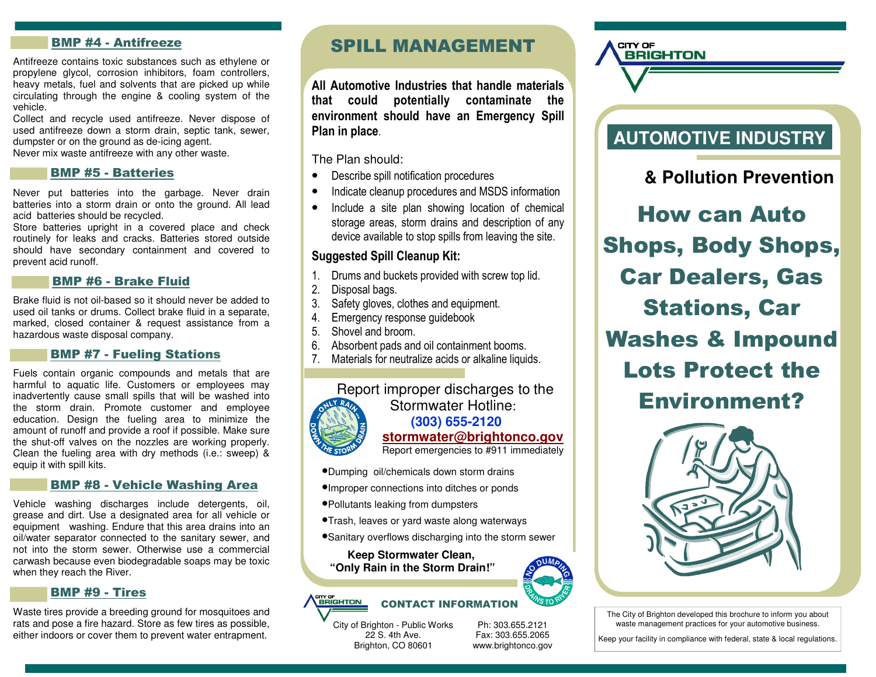# BMP #4 - Antifreeze

Antifreeze contains toxic substances such as ethylene or propylene glycol, corrosion inhibitors, foam controllers, heavy metals, fuel and solvents that are picked up while circulating through the engine & cooling system of the vehicle.

 Collect and recycle used antifreeze. Never dispose of used antifreeze down a storm drain, septic tank, sewer, dumpster or on the ground as de-icing agent. Never mix waste antifreeze with any other waste.

### BMP #5 - Batteries

Never put batteries into the garbage. Never drain batteries into a storm drain or onto the ground. All lead acid batteries should be recycled.

 Store batteries upright in a covered place and check routinely for leaks and cracks. Batteries stored outside should have secondary containment and covered to prevent acid runoff.

### BMP #6 - Brake Fluid

Brake fluid is not oil-based so it should never be added to used oil tanks or drums. Collect brake fluid in a separate, marked, closed container & request assistance from a hazardous waste disposal company.

## BMP #7 - Fueling Stations

Fuels contain organic compounds and metals that are harmful to aquatic life. Customers or employees may inadvertently cause small spills that will be washed into the storm drain. Promote customer and employee education. Design the fueling area to minimize the amount of runoff and provide a roof if possible. Make sure the shut-off valves on the nozzles are working properly. Clean the fueling area with dry methods (i.e.: sweep) & equip it with spill kits.

#### BMP #8 - Vehicle Washing Area

Vehicle washing discharges include detergents, oil, grease and dirt. Use a designated area for all vehicle or equipment washing. Endure that this area drains into an oil/water separator connected to the sanitary sewer, and not into the storm sewer. Otherwise use a commercial carwash because even biodegradable soaps may be toxic when they reach the River.

### BMP #9 - Tires

Waste tires provide a breeding ground for mosquitoes and rats and pose a fire hazard. Store as few tires as possible, either indoors or cover them to prevent water entrapment.

# SPILL MANAGEMENT

All Automotive Industries that handle materials that could potentially contaminate the environment should have an Emergency Spill Plan in place.

The Plan should:

- Describe spill notification procedures
- Indicate cleanup procedures and MSDS information
- Include a site plan showing location of chemical storage areas, storm drains and description of any device available to stop spills from leaving the site.

## Suggested Spill Cleanup Kit:

- 1. Drums and buckets provided with screw top lid.
- 2. Disposal bags.
- 3. Safety gloves, clothes and equipment.
- 4. Emergency response guidebook
- 5. Shovel and broom.
- 6. Absorbent pads and oil containment booms.
- 7. Materials for neutralize acids or alkaline liquids.



# Report improper discharges to the Stormwater Hotline:  **(303) 655-2120 stormwater@brightonco.gov**Report emergencies to #911 immediately

- •Dumping oil/chemicals down storm drains
- •Improper connections into ditches or ponds
- •Pollutants leaking from dumpsters
- •Trash, leaves or yard waste along waterways
- •Sanitary overflows discharging into the storm sewer

**Keep Stormwater Clean, "Only Rain in the Storm Drain!"** 

#### <sup>CITY OF</sup><br>BRIGHTON CONTACT INFORMATION

City of Brighton - Public Works 22 S. 4th Ave. Brighton, CO 80601

Ph: 303.655.2121 Fax: 303.655.2065 www.brightonco.gov



CITY OF

**BRIGHTON** 

# **& Pollution Prevention**

How can Auto Shops, Body Shops, Car Dealers, Gas Stations, Car Washes & Impound Lots Protect the Environment?



The City of Brighton developed this brochure to inform you about waste management practices for your automotive business.

Keep your facility in compliance with federal, state & local regulations.